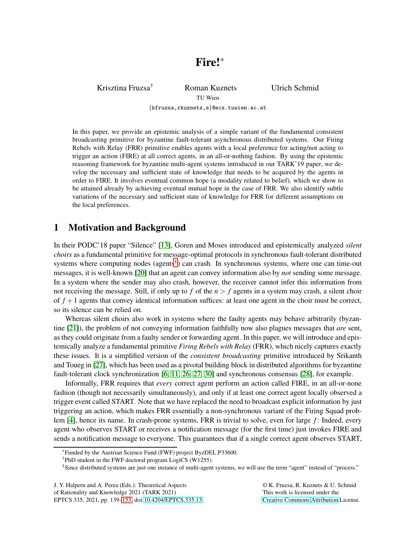Krisztina Fruzsa<sup>†</sup> Roman Kuznets Ulrich Schmid

TU Wien

{kfruzsa,rkuznets,s}@ecs.tuwien.ac.at

In this paper, we provide an epistemic analysis of a simple variant of the fundamental consistent broadcasting primitive for byzantine fault-tolerant asynchronous distributed systems. Our Firing Rebels with Relay (FRR) primitive enables agents with a local preference for acting/not acting to trigger an action (FIRE) at all correct agents, in an all-or-nothing fashion. By using the epistemic reasoning framework for byzantine multi-agent systems introduced in our TARK'19 paper, we develop the necessary and sufficient state of knowledge that needs to be acquired by the agents in order to FIRE. It involves eventual common hope (a modality related to belief), which we show to be attained already by achieving eventual mutual hope in the case of FRR. We also identify subtle variations of the necessary and sufficient state of knowledge for FRR for different assumptions on the local preferences.

# <span id="page-0-1"></span>1 Motivation and Background

In their PODC'18 paper "Silence" [\[13\]](#page-11-0), Goren and Moses introduced and epistemically analyzed *silent choirs* as a fundamental primitive for message-optimal protocols in synchronous fault-tolerant distributed systems where computing nodes (agents<sup>[1](#page-0-0)</sup>) can crash. In synchronous systems, where one can time-out messages, it is well-known [\[20\]](#page-12-0) that an agent can convey information also by *not* sending some message. In a system where the sender may also crash, however, the receiver cannot infer this information from not receiving the message. Still, if only up to  $f$  of the  $n > f$  agents in a system may crash, a silent choir of  $f + 1$  agents that convey identical information suffices: at least one agent in the choir must be correct, so its silence can be relied on.

Whereas silent choirs also work in systems where the faulty agents may behave arbitrarily (byzantine [\[21\]](#page-12-1)), the problem of not conveying information faithfully now also plagues messages that *are* sent, as they could originate from a faulty sender or forwarding agent. In this paper, we will introduce and epistemically analyze a fundamental primitive *Firing Rebels with Relay* (FRR), which nicely captures exactly these issues. It is a simplified version of the *consistent broadcasting* primitive introduced by Srikanth and Toueg in [\[27\]](#page-12-2), which has been used as a pivotal building block in distributed algorithms for byzantine fault-tolerant clock synchronization [\[6,](#page-11-1) [11,](#page-11-2) [26,](#page-12-3) [27,](#page-12-2) [30\]](#page-12-4) and synchronous consensus [\[28\]](#page-12-5), for example.

Informally, FRR requires that *every* correct agent perform an action called FIRE, in an all-or-none fashion (though not necessarily simultaneously), and only if at least one correct agent locally observed a trigger event called START. Note that we have replaced the need to broadcast explicit information by just triggering an action, which makes FRR essentially a non-synchronous variant of the Firing Squad prob-lem [\[4\]](#page-11-3), hence its name. In crash-prone systems, FRR is trivial to solve, even for large *f*: Indeed, every agent who observes START or receives a notification message (for the first time) just invokes FIRE and sends a notification message to everyone. This guarantees that if a single correct agent observes START,

EPTCS 335, 2021, pp. 139[–153,](#page-14-0) doi[:10.4204/EPTCS.335.13](http://dx.doi.org/10.4204/EPTCS.335.13)

© K. Fruzsa, R. Kuznets & U. Schmid This work is licensed under the [Creative Commons](https://creativecommons.org) [Attribution](https://creativecommons.org/licenses/by/4.0/) License.

<sup>\*</sup>Funded by the Austrian Science Fund (FWF) project ByzDEL P33600.

<sup>†</sup>PhD student in the FWF doctoral program LogiCS (W1255).

<span id="page-0-0"></span><sup>&</sup>lt;sup>1</sup>Since distributed systems are just one instance of multi-agent systems, we will use the term "agent" instead of "process."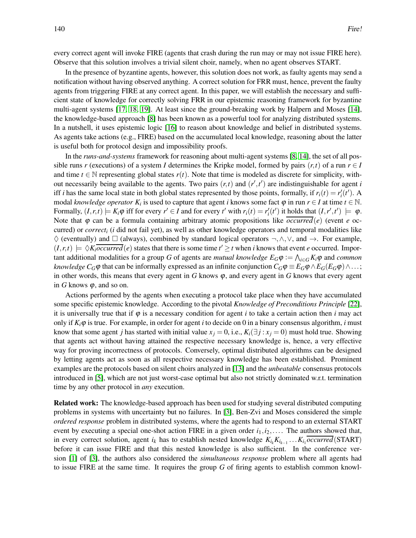every correct agent will invoke FIRE (agents that crash during the run may or may not issue FIRE here). Observe that this solution involves a trivial silent choir, namely, when no agent observes START.

In the presence of byzantine agents, however, this solution does not work, as faulty agents may send a notification without having observed anything. A correct solution for FRR must, hence, prevent the faulty agents from triggering FIRE at any correct agent. In this paper, we will establish the necessary and sufficient state of knowledge for correctly solving FRR in our epistemic reasoning framework for byzantine multi-agent systems [\[17,](#page-11-4) [18,](#page-11-5) [19\]](#page-11-6). At least since the ground-breaking work by Halpern and Moses [\[14\]](#page-11-7), the knowledge-based approach [\[8\]](#page-11-8) has been known as a powerful tool for analyzing distributed systems. In a nutshell, it uses epistemic logic [\[16\]](#page-11-9) to reason about knowledge and belief in distributed systems. As agents take actions (e.g., FIRE) based on the accumulated local knowledge, reasoning about the latter is useful both for protocol design and impossibility proofs.

In the *runs-and-systems* framework for reasoning about multi-agent systems [\[8,](#page-11-8) [14\]](#page-11-7), the set of all possible runs *r* (executions) of a system *I* determines the Kripke model, formed by pairs  $(r,t)$  of a run  $r \in I$ and time  $t \in \mathbb{N}$  representing global states  $r(t)$ . Note that time is modeled as discrete for simplicity, without necessarily being available to the agents. Two pairs  $(r, t)$  and  $(r', t')$  are indistinguishable for agent *i* iff *i* has the same local state in both global states represented by those points, formally, if  $r_i(t) = r'_i(t')$ . A modal *knowledge operator*  $K_i$  is used to capture that agent *i* knows some fact  $\varphi$  in run  $r \in I$  at time  $t \in \mathbb{N}$ . Formally,  $(I, r, t) \models K_i \varphi$  iff for every  $r' \in I$  and for every  $t'$  with  $r_i(t) = r'_i(t')$  it holds that  $(I, r', t') \models \varphi$ . Note that  $\varphi$  can be a formula containing arbitrary atomic propositions like *occurred*(*e*) (event *e* occurred) or *correct<sup>i</sup>* (*i* did not fail yet), as well as other knowledge operators and temporal modalities like  $\diamondsuit$  (eventually) and  $\square$  (always), combined by standard logical operators  $\neg, \wedge, \vee$ , and  $\rightarrow$ . For example,  $(I, r, t) \models \Diamond K_i \overline{occurred}(e)$  states that there is some time  $t' \geq t$  when *i* knows that event *e* occurred. Important additional modalities for a group *G* of agents are *mutual knowledge*  $E_G\varphi := \bigwedge_{i\in G} K_i\varphi$  and *common knowledge*  $C_G\phi$  that can be informally expressed as an infinite conjunction  $C_G\phi \equiv E_G\phi \wedge E_G(E_G\phi) \wedge \dots;$ in other words, this means that every agent in  $G$  knows  $\varphi$ , and every agent in  $G$  knows that every agent in  $G$  knows  $\varphi$ , and so on.

Actions performed by the agents when executing a protocol take place when they have accumulated some specific epistemic knowledge. According to the pivotal *Knowledge of Preconditions Principle* [\[22\]](#page-12-6), it is universally true that if  $\varphi$  is a necessary condition for agent *i* to take a certain action then *i* may act only if  $K_i\varphi$  is true. For example, in order for agent *i* to decide on 0 in a binary consensus algorithm, *i* must know that some agent *j* has started with initial value  $x_j = 0$ , i.e.,  $K_i(\exists j : x_j = 0)$  must hold true. Showing that agents act without having attained the respective necessary knowledge is, hence, a very effective way for proving incorrectness of protocols. Conversely, optimal distributed algorithms can be designed by letting agents act as soon as all respective necessary knowledge has been established. Prominent examples are the protocols based on silent choirs analyzed in [\[13\]](#page-11-0) and the *unbeatable* consensus protocols introduced in [\[5\]](#page-11-10), which are not just worst-case optimal but also not strictly dominated w.r.t. termination time by any other protocol in *any* execution.

Related work: The knowledge-based approach has been used for studying several distributed computing problems in systems with uncertainty but no failures. In [\[3\]](#page-11-11), Ben-Zvi and Moses considered the simple *ordered response* problem in distributed systems, where the agents had to respond to an external START event by executing a special one-shot action FIRE in a given order  $i_1, i_2, \ldots$ . The authors showed that, in every correct solution, agent  $i_k$  has to establish nested knowledge  $K_{i_k}K_{i_{k-1}}\ldots K_{i_1}occurred(START)$ before it can issue FIRE and that this nested knowledge is also sufficient. In the conference version [\[1\]](#page-10-0) of [\[3\]](#page-11-11), the authors also considered the *simultaneous response* problem where all agents had to issue FIRE at the same time. It requires the group *G* of firing agents to establish common knowl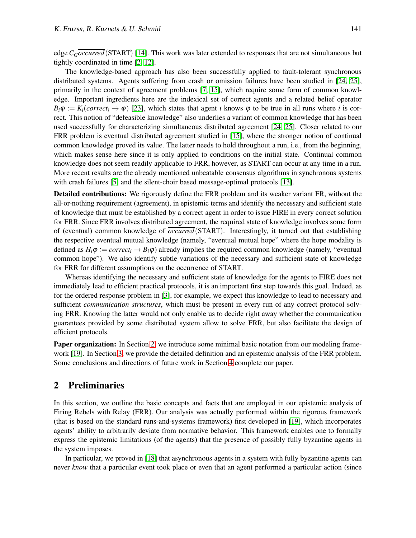edge *CGoccurred*(START) [\[14\]](#page-11-7). This work was later extended to responses that are not simultaneous but tightly coordinated in time [\[2,](#page-10-1) [12\]](#page-11-12).

The knowledge-based approach has also been successfully applied to fault-tolerant synchronous distributed systems. Agents suffering from crash or omission failures have been studied in [\[24,](#page-12-7) [25\]](#page-12-8), primarily in the context of agreement problems [\[7,](#page-11-13) [15\]](#page-11-14), which require some form of common knowledge. Important ingredients here are the indexical set of correct agents and a related belief operator  $B_i\varphi := K_i(correct_i \to \varphi)$  [\[23\]](#page-12-9), which states that agent *i* knows  $\varphi$  to be true in all runs where *i* is correct. This notion of "defeasible knowledge" also underlies a variant of common knowledge that has been used successfully for characterizing simultaneous distributed agreement [\[24,](#page-12-7) [25\]](#page-12-8). Closer related to our FRR problem is eventual distributed agreement studied in [\[15\]](#page-11-14), where the stronger notion of continual common knowledge proved its value. The latter needs to hold throughout a run, i.e., from the beginning, which makes sense here since it is only applied to conditions on the initial state. Continual common knowledge does not seem readily applicable to FRR, however, as START can occur at any time in a run. More recent results are the already mentioned unbeatable consensus algorithms in synchronous systems with crash failures [\[5\]](#page-11-10) and the silent-choir based message-optimal protocols [\[13\]](#page-11-0).

Detailed contributions: We rigorously define the FRR problem and its weaker variant FR, without the all-or-nothing requirement (agreement), in epistemic terms and identify the necessary and sufficient state of knowledge that must be established by a correct agent in order to issue FIRE in every correct solution for FRR. Since FRR involves distributed agreement, the required state of knowledge involves some form of (eventual) common knowledge of *occurred*(START). Interestingly, it turned out that establishing the respective eventual mutual knowledge (namely, "eventual mutual hope" where the hope modality is defined as  $H_i\varphi := correct_i \rightarrow B_i\varphi$ ) already implies the required common knowledge (namely, "eventual common hope"). We also identify subtle variations of the necessary and sufficient state of knowledge for FRR for different assumptions on the occurrence of START.

Whereas identifying the necessary and sufficient state of knowledge for the agents to FIRE does not immediately lead to efficient practical protocols, it is an important first step towards this goal. Indeed, as for the ordered response problem in [\[3\]](#page-11-11), for example, we expect this knowledge to lead to necessary and sufficient *communication structures*, which must be present in every run of any correct protocol solving FRR. Knowing the latter would not only enable us to decide right away whether the communication guarantees provided by some distributed system allow to solve FRR, but also facilitate the design of efficient protocols.

**Paper organization:** In Section [2,](#page-2-0) we introduce some minimal basic notation from our modeling framework [\[19\]](#page-11-6). In Section [3,](#page-4-0) we provide the detailed definition and an epistemic analysis of the FRR problem. Some conclusions and directions of future work in Section [4](#page-10-2) complete our paper.

# <span id="page-2-0"></span>2 Preliminaries

In this section, we outline the basic concepts and facts that are employed in our epistemic analysis of Firing Rebels with Relay (FRR). Our analysis was actually performed within the rigorous framework (that is based on the standard runs-and-systems framework) first developed in [\[19\]](#page-11-6), which incorporates agents' ability to arbitrarily deviate from normative behavior. This framework enables one to formally express the epistemic limitations (of the agents) that the presence of possibly fully byzantine agents in the system imposes.

In particular, we proved in [\[18\]](#page-11-5) that asynchronous agents in a system with fully byzantine agents can never *know* that a particular event took place or even that an agent performed a particular action (since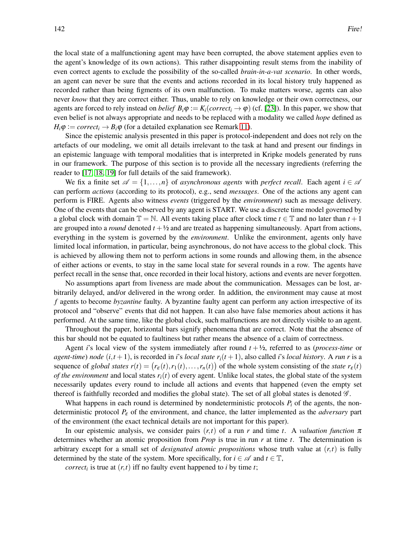the local state of a malfunctioning agent may have been corrupted, the above statement applies even to the agent's knowledge of its own actions). This rather disappointing result stems from the inability of even correct agents to exclude the possibility of the so-called *brain-in-a-vat scenario*. In other words, an agent can never be sure that the events and actions recorded in its local history truly happened as recorded rather than being figments of its own malfunction. To make matters worse, agents can also never *know* that they are correct either. Thus, unable to rely on knowledge or their own correctness, our agents are forced to rely instead on *belief*  $B_i\varphi := K_i(correct_i \rightarrow \varphi)$  (cf. [\[23\]](#page-12-9)). In this paper, we show that even belief is not always appropriate and needs to be replaced with a modality we called *hope* defined as  $H_i\varphi := correct_i \rightarrow B_i\varphi$  (for a detailed explanation see Remark [11\)](#page-7-0).

Since the epistemic analysis presented in this paper is protocol-independent and does not rely on the artefacts of our modeling, we omit all details irrelevant to the task at hand and present our findings in an epistemic language with temporal modalities that is interpreted in Kripke models generated by runs in our framework. The purpose of this section is to provide all the necessary ingredients (referring the reader to [\[17,](#page-11-4) [18,](#page-11-5) [19\]](#page-11-6) for full details of the said framework).

We fix a finite set  $\mathscr{A} = \{1, \ldots, n\}$  of *asynchronous agents* with *perfect recall*. Each agent  $i \in \mathscr{A}$ can perform *actions* (according to its protocol), e.g., send *messages*. One of the actions any agent can perform is FIRE. Agents also witness *events* (triggered by the *environment*) such as message delivery. One of the events that can be observed by any agent is START. We use a discrete time model governed by a global clock with domain  $\mathbb{T} = \mathbb{N}$ . All events taking place after clock time  $t \in \mathbb{T}$  and no later than  $t + 1$ are grouped into a *round* denoted  $t + \frac{1}{2}$  and are treated as happening simultaneously. Apart from actions, everything in the system is governed by the *environment*. Unlike the environment, agents only have limited local information, in particular, being asynchronous, do not have access to the global clock. This is achieved by allowing them not to perform actions in some rounds and allowing them, in the absence of either actions or events, to stay in the same local state for several rounds in a row. The agents have perfect recall in the sense that, once recorded in their local history, actions and events are never forgotten.

No assumptions apart from liveness are made about the communication. Messages can be lost, arbitrarily delayed, and/or delivered in the wrong order. In addition, the environment may cause at most *f* agents to become *byzantine* faulty. A byzantine faulty agent can perform any action irrespective of its protocol and "observe" events that did not happen. It can also have false memories about actions it has performed. At the same time, like the global clock, such malfunctions are not directly visible to an agent.

Throughout the paper, horizontal bars signify phenomena that are correct. Note that the absence of this bar should not be equated to faultiness but rather means the absence of a claim of correctness.

Agent *i*'s local view of the system immediately after round *t* +½, referred to as (*process-time* or *agent-time*) *node*  $(i, t + 1)$ , is recorded in *i*'s *local state*  $r_i(t + 1)$ , also called *i*'s *local history*. A *run r* is a sequence of *global states*  $r(t) = (r_{\varepsilon}(t), r_1(t), \dots, r_n(t))$  of the whole system consisting of the *state*  $r_{\varepsilon}(t)$ *of the environment* and local states  $r_i(t)$  of every agent. Unlike local states, the global state of the system necessarily updates every round to include all actions and events that happened (even the empty set thereof is faithfully recorded and modifies the global state). The set of all global states is denoted  $\mathscr G$ .

What happens in each round is determined by nondeterministic protocols  $P_i$  of the agents, the nondeterministic protocol *P*<sup>ε</sup> of the environment, and chance, the latter implemented as the *adversary* part of the environment (the exact technical details are not important for this paper).

In our epistemic analysis, we consider pairs  $(r,t)$  of a run r and time t. A *valuation function*  $\pi$ determines whether an atomic proposition from *Prop* is true in run *r* at time *t*. The determination is arbitrary except for a small set of *designated atomic propositions* whose truth value at (*r*,*t*) is fully determined by the state of the system. More specifically, for  $i \in \mathcal{A}$  and  $t \in \mathbb{T}$ ,

*correct<sub>i</sub>* is true at  $(r, t)$  iff no faulty event happened to *i* by time *t*;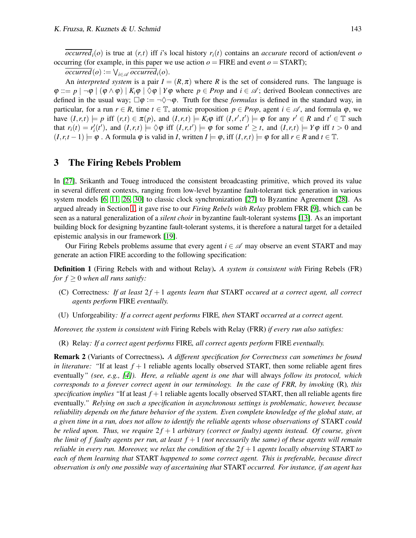$\overline{occurred_i(o)}$  is true at  $(r, t)$  iff *i*'s local history  $r_i(t)$  contains an *accurate* record of action/event *o* occurring (for example, in this paper we use action  $o = \text{FIRE}$  and event  $o = \text{START}$ );

 $occurred(o) := \bigvee_{i \in \mathcal{A}} occurred_i(o).$ 

An *interpreted system* is a pair  $I = (R, \pi)$  where R is the set of considered runs. The language is  $\varphi ::= p \mid \neg \varphi \mid (\varphi \land \varphi) \mid K_i \varphi \mid \Diamond \varphi \mid Y \varphi$  where  $p \in Prop$  and  $i \in \mathcal{A}$ ; derived Boolean connectives are defined in the usual way;  $\Box \varphi := \neg \Diamond \neg \varphi$ . Truth for these *formulas* is defined in the standard way, in particular, for a run  $r \in R$ , time  $t \in \mathbb{T}$ , atomic proposition  $p \in Prop$ , agent  $i \in \mathcal{A}$ , and formula  $\varphi$ , we have  $(I,r,t) \models p$  iff  $(r,t) \in \pi(p)$ , and  $(I,r,t) \models K_i \varphi$  iff  $(I,r',t') \models \varphi$  for any  $r' \in R$  and  $t' \in \mathbb{T}$  such that  $r_i(t) = r'_i(t')$ , and  $(I, r, t) \models \Diamond \varphi$  iff  $(I, r, t') \models \varphi$  for some  $t' \geq t$ , and  $(I, r, t) \models Y\varphi$  iff  $t > 0$  and  $(I, r, t-1) \models \varphi$ . A formula  $\varphi$  is valid in *I*, written  $I \models \varphi$ , iff  $(I, r, t) \models \varphi$  for all  $r \in R$  and  $t \in \mathbb{T}$ .

## <span id="page-4-0"></span>3 The Firing Rebels Problem

In [\[27\]](#page-12-2), Srikanth and Toueg introduced the consistent broadcasting primitive, which proved its value in several different contexts, ranging from low-level byzantine fault-tolerant tick generation in various system models [\[6,](#page-11-1) [11,](#page-11-2) [26,](#page-12-3) [30\]](#page-12-4) to classic clock synchronization [\[27\]](#page-12-2) to Byzantine Agreement [\[28\]](#page-12-5). As argued already in Section [1,](#page-0-1) it gave rise to our *Firing Rebels with Relay* problem FRR [\[9\]](#page-11-15), which can be seen as a natural generalization of a *silent choir* in byzantine fault-tolerant systems [\[13\]](#page-11-0). As an important building block for designing byzantine fault-tolerant systems, it is therefore a natural target for a detailed epistemic analysis in our framework [\[19\]](#page-11-6).

Our Firing Rebels problems assume that every agent  $i \in \mathcal{A}$  may observe an event START and may generate an action FIRE according to the following specification:

<span id="page-4-1"></span>Definition 1 (Firing Rebels with and without Relay). *A system is consistent with* Firing Rebels (FR) *for*  $f \geq 0$  *when all runs satisfy:* 

- (C) Correctness*: If at least* 2 *f* + 1 *agents learn that* START *occured at a correct agent, all correct agents perform* FIRE *eventually.*
- (U) Unforgeability*: If a correct agent performs* FIRE*, then* START *occurred at a correct agent.*

*Moreover, the system is consistent with* Firing Rebels with Relay (FRR) *if every run also satisfies:*

(R) Relay*: If a correct agent performs* FIRE*, all correct agents perform* FIRE *eventually.*

Remark 2 (Variants of Correctness). *A different specification for Correctness can sometimes be found in literature:* "If at least  $f + 1$  reliable agents locally observed START, then some reliable agent fires eventually*" (see, e.g., [\[4\]](#page-11-3)). Here, a reliable agent is one that* will always *follow its protocol, which corresponds to a forever correct agent in our terminology. In the case of FRR, by invoking* (R)*, this specification implies "*If at least *f* +1 reliable agents locally observed START, then all reliable agents fire eventually*." Relying on such a specification in asynchronous settings is problematic, however, because reliability depends on the future behavior of the system. Even complete knowledge of the global state, at a given time in a run, does not allow to identify the reliable agents whose observations of* START *could be relied upon. Thus, we require*  $2f + 1$  *arbitrary (correct or faulty) agents instead. Of course, given the limit of f faulty agents per run, at least f* +1 *(not necessarily the same) of these agents will remain reliable in every run. Moreover, we relax the condition of the*  $2f + 1$  *agents locally observing* START *to each of them learning that* START *happened to some correct agent. This is preferable, because direct observation is only one possible way of ascertaining that* START *occurred. For instance, if an agent has*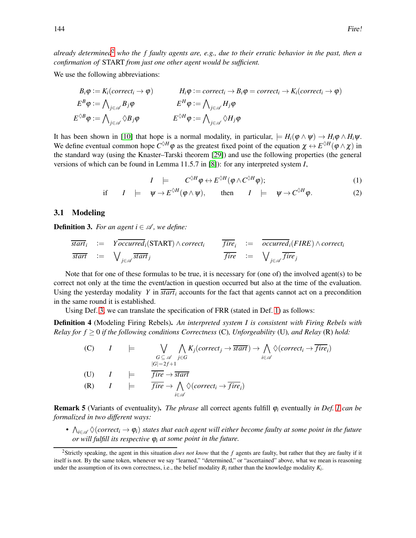*already determined*[2](#page-5-0) *who the f faulty agents are, e.g., due to their erratic behavior in the past, then a confirmation of* START *from just one other agent would be sufficient.*

We use the following abbreviations:

$$
B_i \varphi := K_i(\text{correct}_i \to \varphi) \qquad H_i \varphi := \text{correct}_i \to B_i \varphi = \text{correct}_i \to K_i(\text{correct}_i \to \varphi)
$$
\n
$$
E^B \varphi := \bigwedge_{j \in \mathscr{A}} B_j \varphi \qquad E^H \varphi := \bigwedge_{j \in \mathscr{A}} H_j \varphi
$$
\n
$$
E^{\Diamond B} \varphi := \bigwedge_{j \in \mathscr{A}} \Diamond B_j \varphi \qquad E^{\Diamond H} \varphi := \bigwedge_{j \in \mathscr{A}} \Diamond H_j \varphi
$$

It has been shown in [\[10\]](#page-11-16) that hope is a normal modality, in particular,  $\models H_i(\varphi \land \psi) \rightarrow H_i\varphi \land H_i\psi$ . We define eventual common hope  $C^{\Diamond H} \varphi$  as the greatest fixed point of the equation  $\chi \leftrightarrow E^{\Diamond H}(\varphi \wedge \chi)$  in the standard way (using the Knaster–Tarski theorem [\[29\]](#page-12-10)) and use the following properties (the general versions of which can be found in Lemma 11.5.7 in [\[8\]](#page-11-8)): for any interpreted system *I*,

<span id="page-5-3"></span><span id="page-5-2"></span>
$$
I \quad \models \qquad C^{\diamond H} \varphi \leftrightarrow E^{\diamond H} (\varphi \wedge C^{\diamond H} \varphi); \tag{1}
$$

if 
$$
I \models \psi \rightarrow E^{\Diamond H}(\varphi \land \psi)
$$
, then  $I \models \psi \rightarrow C^{\Diamond H} \varphi$ . (2)

### 3.1 Modeling

<span id="page-5-1"></span>**Definition 3.** *For an agent*  $i \in \mathcal{A}$ *, we define:* 

$$
\overline{start}_i := Y \overline{occurred}_i(\text{START}) \land correct_i \qquad \overline{fire}_i := \overline{occurred}_i(\text{FIRE}) \land correct_i
$$
\n
$$
\overline{start} := \bigvee_{j \in \mathcal{A}} \overline{start}_j \qquad \overline{fire} := \bigvee_{j \in \mathcal{A}} \overline{fire}_j
$$

Note that for one of these formulas to be true, it is necessary for (one of) the involved agent(s) to be correct not only at the time the event/action in question occurred but also at the time of the evaluation. Using the yesterday modality *Y* in *start<sup>i</sup>* accounts for the fact that agents cannot act on a precondition in the same round it is established.

Using Def. [3,](#page-5-1) we can translate the specification of FRR (stated in Def. [1\)](#page-4-1) as follows:

Definition 4 (Modeling Firing Rebels). *An interpreted system I is consistent with Firing Rebels with Relay for f* ≥ 0 *if the following conditions Correctness* (C)*, Unforgeability* (U)*, and Relay* (R) *hold:*

(C) 
$$
I \models \bigvee_{\substack{G \subseteq \mathscr{A} \\ |G| = 2f+1}} \bigwedge_{j \in G} K_j(\text{correct}_j \to \overline{\text{start}}) \to \bigwedge_{i \in \mathscr{A}} \Diamond(\text{correct}_i \to \overline{\text{fire}}_i)
$$

\n(U)  $I \models \overline{\text{fire}} \to \overline{\text{start}}$ 

\n(R)  $I \models \overline{\text{fire}} \to \bigwedge_{i \in \mathscr{A}} \Diamond(\text{correct}_i \to \overline{\text{fire}}_i)$ 

Remark 5 (Variants of eventuality). *The phrase* all correct agents fulfill <sup>ϕ</sup>*<sup>i</sup>* eventually *in Def. [1](#page-4-1) can be formalized in two different ways:*

•  $\bigwedge_{i\in\mathscr{A}} \Diamond (correct_i\rightarrow \phi_i)$  states that each agent will either become faulty at some point in the future *or will fulfill its respective* <sup>ϕ</sup>*<sup>i</sup> at some point in the future.*

<span id="page-5-0"></span><sup>2</sup>Strictly speaking, the agent in this situation *does not know* that the *f* agents are faulty, but rather that they are faulty if it itself is not. By the same token, whenever we say "learned," "determined," or "ascertained" above, what we mean is reasoning under the assumption of its own correctness, i.e., the belief modality  $B_i$  rather than the knowledge modality  $K_i$ .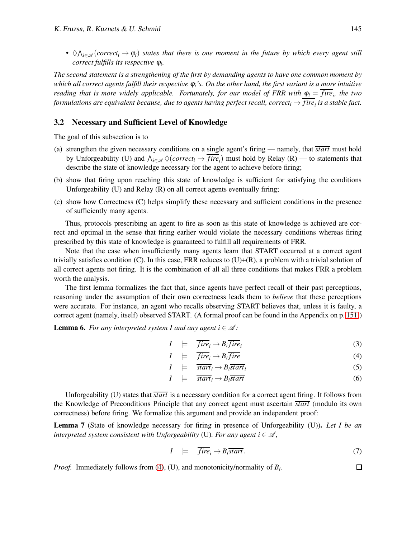•  $\Diamond \bigwedge_{i \in \mathscr{A}} (correct_i \to \varphi_i)$  states that there is one moment in the future by which every agent still *correct fulfills its respective* <sup>ϕ</sup>*<sup>i</sup> .*

*The second statement is a strengthening of the first by demanding agents to have one common moment by which all correct agents fulfill their respective* <sup>ϕ</sup>*i's. On the other hand, the first variant is a more intuitive reading that is more widely applicable. Fortunately, for our model of FRR with*  $\varphi_i = \overline{fire}_i$ *, the two formulations are equivalent because, due to agents having perfect recall, correct<sup>i</sup>* → *fire<sup>i</sup> is a stable fact.*

#### 3.2 Necessary and Sufficient Level of Knowledge

The goal of this subsection is to

- (a) strengthen the given necessary conditions on a single agent's firing namely, that *start* must hold by Unforgeability (U) and  $\bigwedge_{i \in \mathcal{A}} \bigvee (correct_i \rightarrow \overline{fire}_i)$  must hold by Relay (R) — to statements that describe the state of knowledge necessary for the agent to achieve before firing;
- (b) show that firing upon reaching this state of knowledge is sufficient for satisfying the conditions Unforgeability (U) and Relay (R) on all correct agents eventually firing;
- (c) show how Correctness (C) helps simplify these necessary and sufficient conditions in the presence of sufficiently many agents.

Thus, protocols prescribing an agent to fire as soon as this state of knowledge is achieved are correct and optimal in the sense that firing earlier would violate the necessary conditions whereas firing prescribed by this state of knowledge is guaranteed to fulfill all requirements of FRR.

Note that the case when insufficiently many agents learn that START occurred at a correct agent trivially satisfies condition  $(C)$ . In this case, FRR reduces to  $(U)+(R)$ , a problem with a trivial solution of all correct agents not firing. It is the combination of all all three conditions that makes FRR a problem worth the analysis.

The first lemma formalizes the fact that, since agents have perfect recall of their past perceptions, reasoning under the assumption of their own correctness leads them to *believe* that these perceptions were accurate. For instance, an agent who recalls observing START believes that, unless it is faulty, a correct agent (namely, itself) observed START. (A formal proof can be found in the Appendix on p. [151.](#page-12-11))

<span id="page-6-2"></span>**Lemma 6.** *For any interpreted system I and any agent i*  $\in \mathcal{A}$ :

$$
I \quad \models \quad \overline{fire}_i \rightarrow B_i \overline{fire}_i \tag{3}
$$

$$
I \quad \models \quad \overline{fire_i} \rightarrow B_i \overline{fire} \tag{4}
$$

$$
I \quad \models \quad \overline{start}_i \rightarrow B_i \overline{start}_i \tag{5}
$$

$$
I \quad \models \quad \overline{start}_i \rightarrow B_i \overline{start} \tag{6}
$$

Unforgeability (U) states that *start* is a necessary condition for a correct agent firing. It follows from the Knowledge of Preconditions Principle that any correct agent must ascertain *start* (modulo its own correctness) before firing. We formalize this argument and provide an independent proof:

<span id="page-6-3"></span>Lemma 7 (State of knowledge necessary for firing in presence of Unforgeability (U)). *Let I be an interpreted system consistent with Unforgeability* (U). For any agent  $i \in \mathcal{A}$ ,

$$
I \quad \models \quad \overline{fire}_i \rightarrow B_i \overline{start} \,. \tag{7}
$$

*Proof.* Immediately follows from [\(4\)](#page-6-0), (U), and monotonicity/normality of *B<sup>i</sup>* .

<span id="page-6-1"></span><span id="page-6-0"></span> $\Box$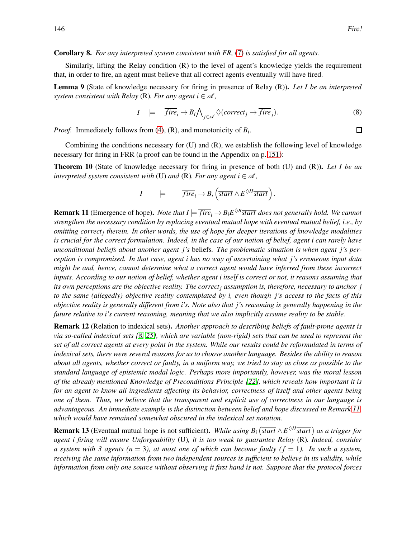$\Box$ 

#### Corollary 8. *For any interpreted system consistent with FR,* [\(7\)](#page-6-1) *is satisfied for all agents.*

Similarly, lifting the Relay condition (R) to the level of agent's knowledge yields the requirement that, in order to fire, an agent must believe that all correct agents eventually will have fired.

<span id="page-7-4"></span>Lemma 9 (State of knowledge necessary for firing in presence of Relay (R)). *Let I be an interpreted system consistent with Relay* (R). For any agent  $i \in \mathcal{A}$ ,

<span id="page-7-3"></span>
$$
I \models \overline{fire}_i \rightarrow B_i \bigwedge_{j \in \mathscr{A}} \Diamond (correct_j \rightarrow \overline{fire}_j). \tag{8}
$$

*Proof.* Immediately follows from [\(4\)](#page-6-0), (R), and monotonicity of *B<sup>i</sup>* .

Combining the conditions necessary for (U) and (R), we establish the following level of knowledge necessary for firing in FRR (a proof can be found in the Appendix on p. [151\)](#page-12-11):

<span id="page-7-2"></span>Theorem 10 (State of knowledge necessary for firing in presence of both (U) and (R)). *Let I be an interpreted system consistent with* (U) *and* (R). For any agent  $i \in \mathcal{A}$ ,

$$
I \qquad \models \qquad \overline{fire}_i \rightarrow B_i \left( \overline{start} \wedge E^{\lozenge H} \overline{start} \right).
$$

<span id="page-7-0"></span>**Remark 11** (Emergence of hope). *Note that*  $I \models \overline{fire_i} \rightarrow B_iE^{\lozenge B}$  *start does not generally hold. We cannot strengthen the necessary condition by replacing eventual mutual hope with eventual mutual belief, i.e., by omitting correct<sup>j</sup> therein. In other words, the use of hope for deeper iterations of knowledge modalities is crucial for the correct formulation. Indeed, in the case of our notion of belief, agent i can rarely have unconditional beliefs about another agent j's* beliefs*. The problematic situation is when agent j's perception is compromised. In that case, agent i has no way of ascertaining what j's erroneous input data might be and, hence, cannot determine what a correct agent would have inferred from these incorrect inputs. According to our notion of belief, whether agent i itself is correct or not, it reasons assuming that its own perceptions are the objective reality. The correct<sup>j</sup> assumption is, therefore, necessary to anchor j to the same (allegedly) objective reality contemplated by i, even though j's access to the facts of this objective reality is generally different from i's. Note also that j's reasoning is generally happening in the future relative to i's current reasoning, meaning that we also implicitly assume reality to be stable.*

Remark 12 (Relation to indexical sets). *Another approach to describing beliefs of fault-prone agents is via so-called indexical sets [\[8,](#page-11-8) [25\]](#page-12-8), which are variable (non-rigid) sets that can be used to represent the set of all correct agents at every point in the system. While our results could be reformulated in terms of indexical sets, there were several reasons for us to choose another language. Besides the ability to reason about all agents, whether correct or faulty, in a uniform way, we tried to stay as close as possible to the standard language of epistemic modal logic. Perhaps more importantly, however, was the moral lesson of the already mentioned Knowledge of Preconditions Principle [\[22\]](#page-12-6), which reveals how important it is for an agent to know all ingredients affecting its behavior, correctness of itself and other agents being one of them. Thus, we believe that the transparent and explicit use of correctness in our language is advantageous. An immediate example is the distinction between belief and hope discussed in Remark [11,](#page-7-0) which would have remained somewhat obscured in the indexical set notation.*

<span id="page-7-1"></span>**Remark 13** (Eventual mutual hope is not sufficient). *While using B<sub>i</sub>* ( $\overline{start} \wedge E^{\lozenge H} \overline{start}$ ) as a trigger for *agent i firing will ensure Unforgeability* (U)*, it is too weak to guarantee Relay* (R)*. Indeed, consider a system with 3 agents (n* = 3), *at most one of which can become faulty (f* = 1). In such a system, *receiving the same information from two independent sources is sufficient to believe in its validity, while information from only one source without observing it first hand is not. Suppose that the protocol forces*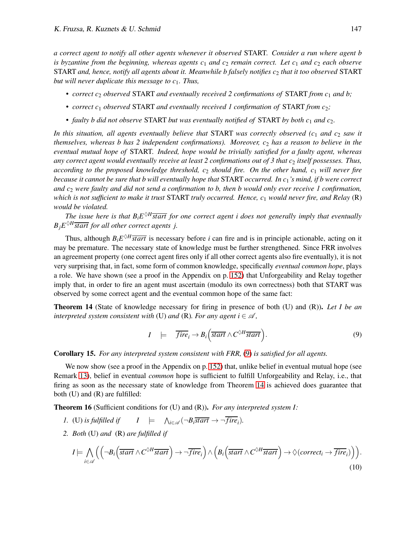*a correct agent to notify all other agents whenever it observed* START*. Consider a run where agent b is byzantine from the beginning, whereas agents*  $c_1$  *and*  $c_2$  *remain correct. Let*  $c_1$  *and*  $c_2$  *each observe* START and, hence, notify all agents about it. Meanwhile b falsely notifies  $c_2$  that it too observed START *but will never duplicate this message to c*1*. Thus,*

- *correct c<sub>2</sub> observed* START *and eventually received 2 confirmations of* START *from c<sub>1</sub> and b*;
- *correct c<sub>1</sub> observed* START *and eventually received 1 confirmation of* START *from c*<sub>2</sub>*;*
- *faulty b did not observe* START *but was eventually notified of* START *by both c*<sup>1</sup> *and c*2*.*

*In this situation, all agents eventually believe that* START *was correctly observed (c*<sup>1</sup> *and c*<sup>2</sup> *saw it themselves, whereas b has 2 independent confirmations). Moreover, c*<sup>2</sup> *has a reason to believe in the eventual mutual hope of* START*. Indeed, hope would be trivially satisfied for a faulty agent, whereas any correct agent would eventually receive at least 2 confirmations out of 3 that c<sub>2</sub> <i>itself possesses. Thus, according to the proposed knowledge threshold, c*<sup>2</sup> *should fire. On the other hand, c*<sup>1</sup> *will never fire because it cannot be sure that b will eventually hope that* START *occurred. In c*1*'s mind, if b were correct and c*<sup>2</sup> *were faulty and did not send a confirmation to b, then b would only ever receive 1 confirmation, which is not sufficient to make it trust* START *truly occurred. Hence, c*<sup>1</sup> *would never fire, and Relay* (R) *would be violated.*

The issue here is that  $B_i E^{\diamond H}$ *start for one correct agent i does not generally imply that eventually*  $B_j E^{\diamondsuit H}$ *start for all other correct agents j.* 

Thus, although  $B_i E^{\lozenge H}$ *start* is necessary before *i* can fire and is in principle actionable, acting on it may be premature. The necessary state of knowledge must be further strengthened. Since FRR involves an agreement property (one correct agent fires only if all other correct agents also fire eventually), it is not very surprising that, in fact, some form of common knowledge, specifically *eventual common hope*, plays a role. We have shown (see a proof in the Appendix on p. [152\)](#page-12-12) that Unforgeability and Relay together imply that, in order to fire an agent must ascertain (modulo its own correctness) both that START was observed by some correct agent and the eventual common hope of the same fact:

<span id="page-8-1"></span>Theorem 14 (State of knowledge necessary for firing in presence of both (U) and (R)). *Let I be an interpreted system consistent with* (U) *and* (R). For any agent  $i \in \mathcal{A}$ ,

<span id="page-8-0"></span>
$$
I \quad \models \quad \overline{fire_i} \rightarrow B_i \Big( \overline{start} \wedge C^{\Diamond H} \overline{start} \Big). \tag{9}
$$

Corollary 15. *For any interpreted system consistent with FRR,* [\(9\)](#page-8-0) *is satisfied for all agents.*

We now show (see a proof in the Appendix on p. [152\)](#page-12-12) that, unlike belief in eventual mutual hope (see Remark [13\)](#page-7-1), belief in eventual *common* hope is sufficient to fulfill Unforgeability and Relay, i.e., that firing as soon as the necessary state of knowledge from Theorem [14](#page-8-1) is achieved does guarantee that both (U) and (R) are fulfilled:

<span id="page-8-2"></span>Theorem 16 (Sufficient conditions for (U) and (R)). *For any interpreted system I:*

- $1.$  (U) is fulfilled if  $\bigwedge_{i \in \mathscr{A}} (\neg B_i \overline{start} \rightarrow \neg fire_i).$
- *2. Both* (U) *and* (R) *are fulfilled if*

<span id="page-8-3"></span>
$$
I \models \bigwedge_{i \in \mathscr{A}} \Big( \Big( \neg B_i \Big( \overline{start} \wedge C^{\diamond H} \overline{start} \Big) \rightarrow \neg \overline{fire}_i \Big) \wedge \Big( B_i \Big( \overline{start} \wedge C^{\diamond H} \overline{start} \Big) \rightarrow \diamondsuit(correct_i \rightarrow \overline{fire}_i) \Big) \Big).
$$
\n(10)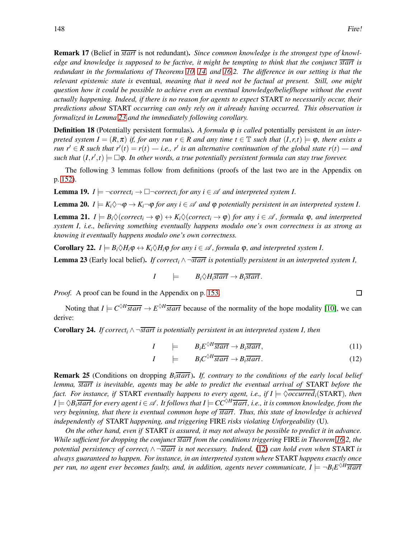Remark 17 (Belief in *start* is not redundant). *Since common knowledge is the strongest type of knowledge and knowledge is supposed to be factive, it might be tempting to think that the conjunct start is redundant in the formulations of Theorems [10,](#page-7-2) [14,](#page-8-1) and [16.](#page-8-2)2. The difference in our setting is that the relevant epistemic state is* eventual*, meaning that it need not be factual at present. Still, one might question how it could be possible to achieve even an eventual knowledge/belief/hope without the event actually happening. Indeed, if there is no reason for agents to expect* START *to necessarily occur, their predictions about* START *occurring can only rely on it already having occurred. This observation is formalized in Lemma [23](#page-9-0) and the immediately following corollary.*

**Definition 18** (Potentially persistent formulas). A formula  $\varphi$  is called potentially persistent *in an interpreted system I* =  $(R, \pi)$  *if, for any run*  $r \in R$  *and any time*  $t \in \mathbb{T}$  *such that*  $(I, r, t) \models \varphi$ *, there exists a run*  $r' \in R$  such that  $r'(t) = r(t) - i.e., r'$  is an alternative continuation of the global state  $r(t) - and$  $\mathit{such that}$   $(I, r', t) \models \Box \varphi$ . In other words, a true potentially persistent formula can stay true forever.

The following 3 lemmas follow from definitions (proofs of the last two are in the Appendix on p. [152\)](#page-13-0).

<span id="page-9-5"></span>**Lemma 19.**  $I \models \neg correct_i \rightarrow \Box \neg correct_i$  for any  $i \in \mathcal{A}$  and interpreted system I.

<span id="page-9-4"></span><span id="page-9-3"></span>**Lemma 20.**  $I \models K_i \Diamond \neg \phi \rightarrow K_i \neg \phi$  for any  $i \in \mathcal{A}$  and  $\phi$  potentially persistent in an interpreted system I. **Lemma 21.**  $I \models B_i \Diamond (correct_i \rightarrow \varphi) \leftrightarrow K_i \Diamond (correct_i \rightarrow \varphi)$  *for any i*  $\in \mathcal{A}$ *, formula*  $\varphi$ *, and interpreted system I, i.e., believing something eventually happens modulo one's own correctness is as strong as knowing it eventually happens modulo one's own correctness.*

<span id="page-9-6"></span>**Corollary 22.**  $I \models B_i \Diamond H_i \phi \leftrightarrow K_i \Diamond H_i \phi$  *for any i* ∈  $\mathcal{A}$ *, formula*  $\phi$ *, and interpreted system I.* 

<span id="page-9-0"></span>**Lemma 23** (Early local belief). *If correct<sub>i</sub>*  $\wedge \neg$ *start is potentially persistent in an interpreted system <i>I*,

$$
I \qquad \models \qquad B_i \Diamond H_i \overline{start} \rightarrow B_i \overline{start}.
$$

*Proof.* A proof can be found in the Appendix on p. [153.](#page-13-0)

Noting that  $I \models C^{\lozenge H} \overline{start} \rightarrow E^{\lozenge H} \overline{start}$  because of the normality of the hope modality [\[10\]](#page-11-16), we can derive:

Corollary 24. *If correct<sup>i</sup>* ∧ ¬*start is potentially persistent in an interpreted system I, then*

$$
I \qquad \models \qquad B_i E^{\diamond H} \overline{start} \to B_i \overline{start}, \tag{11}
$$

$$
I \qquad \models \qquad B_i C^{\diamond H} \overline{start} \to B_i \overline{start}.
$$
 (12)

Remark 25 (Conditions on dropping *Bistart*). *If, contrary to the conditions of the early local belief lemma, start is inevitable, agents* may *be able to predict the eventual arrival of* START *before the fact. For instance, if* START *eventually happens to every agent, i.e., if*  $I \models \Diamond occurred_i(START)$ *, then*  $I \models \Diamond B_i$ *start for every agent i* ∈  $\mathscr A$ . It follows that  $I \models CC^{\Diamond H}$ *start, i.e., it is common knowledge, from the very beginning, that there is eventual common hope of start . Thus, this state of knowledge is achieved independently of* START *happening, and triggering* FIRE *risks violating Unforgeability* (U)*.*

*On the other hand, even if* START *is assured, it may not always be possible to predict it in advance. While sufficient for dropping the conjunct start from the conditions triggering* FIRE *in Theorem [16.](#page-8-2)2, the potential persistency of correct<sup>i</sup>* ∧ ¬*start is not necessary. Indeed,* [\(12\)](#page-9-1) *can hold even when* START *is always guaranteed to happen. For instance, in an interpreted system where* START *happens exactly once per run, no agent ever becomes faulty, and, in addition, agents never communicate,*  $I \models \neg B_i E^{\Diamond H}$  *start* 

<span id="page-9-2"></span><span id="page-9-1"></span> $\Box$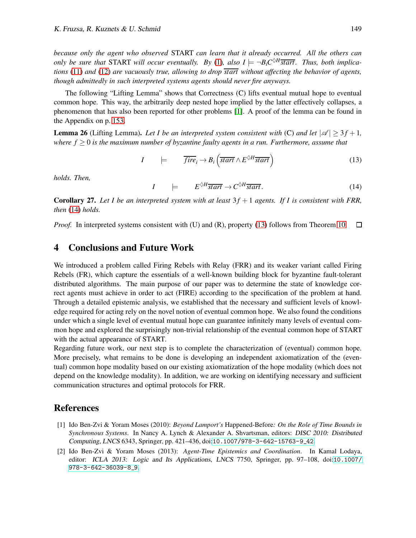*because only the agent who observed* START *can learn that it already occurred. All the others can only be sure that* START *will occur eventually.* By [\(1\)](#page-5-2), also  $I \models \neg B_i C^{\lozenge H}$  start. Thus, both implica*tions* [\(11\)](#page-9-2) *and* [\(12\)](#page-9-1) *are vacuously true, allowing to drop start without affecting the behavior of agents, though admittedly in such interpreted systems agents should never fire anyways.*

The following "Lifting Lemma" shows that Correctness (C) lifts eventual mutual hope to eventual common hope. This way, the arbitrarily deep nested hope implied by the latter effectively collapses, a phenomenon that has also been reported for other problems [\[1\]](#page-10-0). A proof of the lemma can be found in the Appendix on p. [153.](#page-13-0)

<span id="page-10-5"></span>**Lemma 26** (Lifting Lemma). Let I be an interpreted system consistent with (C) and let  $|\mathcal{A}| \geq 3f + 1$ , *where f* ≥ 0 *is the maximum number of byzantine faulty agents in a run. Furthermore, assume that*

$$
I \qquad \models \qquad \overline{fire}_i \rightarrow B_i \left( \overline{start} \wedge E^{\lozenge H} \overline{start} \right) \tag{13}
$$

<span id="page-10-3"></span>*holds. Then,*

<span id="page-10-4"></span>
$$
I \qquad \models \qquad E^{\diamond H} \overline{start} \to C^{\diamond H} \overline{start} \,. \tag{14}
$$

**Corollary 27.** Let I be an interpreted system with at least  $3f + 1$  agents. If I is consistent with FRR, *then* [\(14\)](#page-10-3) *holds.*

*Proof.* In interpreted systems consistent with (U) and (R), property [\(13\)](#page-10-4) follows from Theorem [10.](#page-7-2)  $\Box$ 

# <span id="page-10-2"></span>4 Conclusions and Future Work

We introduced a problem called Firing Rebels with Relay (FRR) and its weaker variant called Firing Rebels (FR), which capture the essentials of a well-known building block for byzantine fault-tolerant distributed algorithms. The main purpose of our paper was to determine the state of knowledge correct agents must achieve in order to act (FIRE) according to the specification of the problem at hand. Through a detailed epistemic analysis, we established that the necessary and sufficient levels of knowledge required for acting rely on the novel notion of eventual common hope. We also found the conditions under which a single level of eventual mutual hope can guarantee infinitely many levels of eventual common hope and explored the surprisingly non-trivial relationship of the eventual common hope of START with the actual appearance of START.

Regarding future work, our next step is to complete the characterization of (eventual) common hope. More precisely, what remains to be done is developing an independent axiomatization of the (eventual) common hope modality based on our existing axiomatization of the hope modality (which does not depend on the knowledge modality). In addition, we are working on identifying necessary and sufficient communication structures and optimal protocols for FRR.

### References

- <span id="page-10-0"></span>[1] Ido Ben-Zvi & Yoram Moses (2010): *Beyond Lamport's* Happened-Before*: On the Role of Time Bounds in Synchronous Systems*. In Nancy A. Lynch & Alexander A. Shvartsman, editors: DISC 2010: Distributed Computing, LNCS 6343, Springer, pp. 421–436, doi:[10.1007/978-3-642-15763-9\\_42](http://dx.doi.org/10.1007/978-3-642-15763-9_42).
- <span id="page-10-1"></span>[2] Ido Ben-Zvi & Yoram Moses (2013): *Agent-Time Epistemics and Coordination*. In Kamal Lodaya, editor: ICLA 2013: Logic and Its Applications, LNCS 7750, Springer, pp. 97–108, doi:[10.1007/](http://dx.doi.org/10.1007/978-3-642-36039-8_9) [978-3-642-36039-8\\_9](http://dx.doi.org/10.1007/978-3-642-36039-8_9).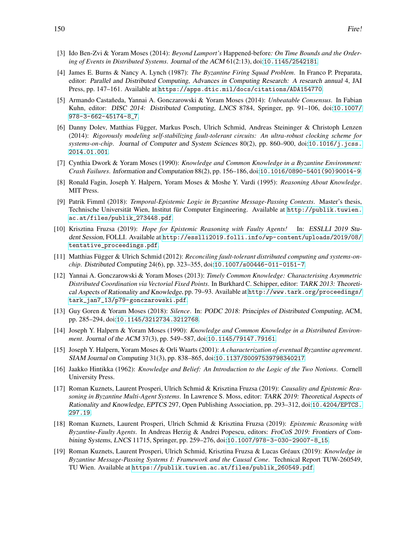- <span id="page-11-11"></span>[3] Ido Ben-Zvi & Yoram Moses (2014): *Beyond Lamport's* Happened-before*: On Time Bounds and the Ordering of Events in Distributed Systems*. Journal of the ACM 61(2:13), doi:[10.1145/2542181](http://dx.doi.org/10.1145/2542181).
- <span id="page-11-3"></span>[4] James E. Burns & Nancy A. Lynch (1987): *The Byzantine Firing Squad Problem*. In Franco P. Preparata, editor: Parallel and Distributed Computing, Advances in Computing Research: <sup>A</sup> research annual 4, JAI Press, pp. 147–161. Available at <https://apps.dtic.mil/docs/citations/ADA154770>.
- <span id="page-11-10"></span>[5] Armando Castañeda, Yannai A. Gonczarowski & Yoram Moses (2014): *Unbeatable Consensus*. In Fabian Kuhn, editor: DISC 2014: Distributed Computing, LNCS 8784, Springer, pp. 91–106, doi:[10.1007/](http://dx.doi.org/10.1007/978-3-662-45174-8_7) [978-3-662-45174-8\\_7](http://dx.doi.org/10.1007/978-3-662-45174-8_7).
- <span id="page-11-1"></span>[6] Danny Dolev, Matthias Függer, Markus Posch, Ulrich Schmid, Andreas Steininger & Christoph Lenzen (2014): *Rigorously modeling self-stabilizing fault-tolerant circuits: An ultra-robust clocking scheme for systems-on-chip*. Journal of Computer and System Sciences 80(2), pp. 860–900, doi:[10.1016/j.jcss.](http://dx.doi.org/10.1016/j.jcss.2014.01.001) [2014.01.001](http://dx.doi.org/10.1016/j.jcss.2014.01.001).
- <span id="page-11-13"></span>[7] Cynthia Dwork & Yoram Moses (1990): *Knowledge and Common Knowledge in a Byzantine Environment: Crash Failures*. Information and Computation 88(2), pp. 156–186, doi:[10.1016/0890-5401\(90\)90014-9](http://dx.doi.org/10.1016/0890-5401(90)90014-9).
- <span id="page-11-8"></span>[8] Ronald Fagin, Joseph Y. Halpern, Yoram Moses & Moshe Y. Vardi (1995): *Reasoning About Knowledge*. MIT Press.
- <span id="page-11-15"></span>[9] Patrik Fimml (2018): *Temporal-Epistemic Logic in Byzantine Message-Passing Contexts*. Master's thesis, Technische Universität Wien, Institut für Computer Engineering. Available at [http://publik.tuwien.](http://publik.tuwien.ac.at/files/publik_273448.pdf) [ac.at/files/publik\\_273448.pdf](http://publik.tuwien.ac.at/files/publik_273448.pdf).
- <span id="page-11-16"></span>[10] Krisztina Fruzsa (2019): *Hope for Epistemic Reasoning with Faulty Agents!* In: ESSLLI <sup>2019</sup> Student Session, FOLLI. Available at [http://esslli2019.folli.info/wp-content/uploads/2019/08/](http://esslli2019.folli.info/wp-content/uploads/2019/08/tentative_proceedings.pdf) [tentative\\_proceedings.pdf](http://esslli2019.folli.info/wp-content/uploads/2019/08/tentative_proceedings.pdf).
- <span id="page-11-2"></span>[11] Matthias Függer & Ulrich Schmid (2012): *Reconciling fault-tolerant distributed computing and systems-onchip*. Distributed Computing 24(6), pp. 323–355, doi:[10.1007/s00446-011-0151-7](http://dx.doi.org/10.1007/s00446-011-0151-7).
- <span id="page-11-12"></span>[12] Yannai A. Gonczarowski & Yoram Moses (2013): *Timely Common Knowledge: Characterising Asymmetric Distributed Coordination via Vectorial Fixed Points*. In Burkhard C. Schipper, editor: TARK 2013: Theoretical Aspects of Rationality and Knowledge, pp. 79–93. Available at [http://www.tark.org/proceedings/](http://www.tark.org/proceedings/tark_jan7_13/p79-gonczarowski.pdf) [tark\\_jan7\\_13/p79-gonczarowski.pdf](http://www.tark.org/proceedings/tark_jan7_13/p79-gonczarowski.pdf).
- <span id="page-11-0"></span>[13] Guy Goren & Yoram Moses (2018): *Silence*. In: PODC 2018: Principles of Distributed Computing, ACM, pp. 285–294, doi:[10.1145/3212734.3212768](http://dx.doi.org/10.1145/3212734.3212768).
- <span id="page-11-7"></span>[14] Joseph Y. Halpern & Yoram Moses (1990): *Knowledge and Common Knowledge in a Distributed Environment*. Journal of the ACM 37(3), pp. 549–587, doi:[10.1145/79147.79161](http://dx.doi.org/10.1145/79147.79161).
- <span id="page-11-14"></span>[15] Joseph Y. Halpern, Yoram Moses & Orli Waarts (2001): *A characterization of eventual Byzantine agreement*. SIAM Journal on Computing 31(3), pp. 838–865, doi:[10.1137/S0097539798340217](http://dx.doi.org/10.1137/S0097539798340217).
- <span id="page-11-9"></span>[16] Jaakko Hintikka (1962): *Knowledge and Belief: An Introduction to the Logic of the Two Notions*. Cornell University Press.
- <span id="page-11-4"></span>[17] Roman Kuznets, Laurent Prosperi, Ulrich Schmid & Krisztina Fruzsa (2019): *Causality and Epistemic Reasoning in Byzantine Multi-Agent Systems*. In Lawrence S. Moss, editor: TARK 2019: Theoretical Aspects of Rationality and Knowledge, EPTCS 297, Open Publishing Association, pp. 293–312, doi:[10.4204/EPTCS.](http://dx.doi.org/10.4204/EPTCS.297.19) [297.19](http://dx.doi.org/10.4204/EPTCS.297.19).
- <span id="page-11-5"></span>[18] Roman Kuznets, Laurent Prosperi, Ulrich Schmid & Krisztina Fruzsa (2019): *Epistemic Reasoning with Byzantine-Faulty Agents*. In Andreas Herzig & Andrei Popescu, editors: FroCoS 2019: Frontiers of Combining Systems, LNCS 11715, Springer, pp. 259–276, doi:[10.1007/978-3-030-29007-8\\_15](http://dx.doi.org/10.1007/978-3-030-29007-8_15).
- <span id="page-11-6"></span>[19] Roman Kuznets, Laurent Prosperi, Ulrich Schmid, Krisztina Fruzsa & Lucas Gr´eaux (2019): *Knowledge in Byzantine Message-Passing Systems I: Framework and the Causal Cone*. Technical Report TUW-260549, TU Wien. Available at [https://publik.tuwien.ac.at/files/publik\\_260549.pdf](https://publik.tuwien.ac.at/files/publik_260549.pdf).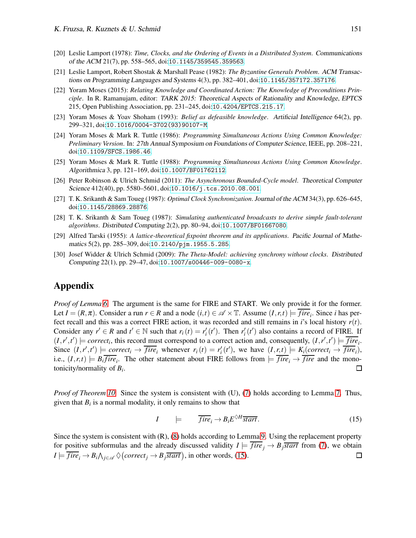- <span id="page-12-0"></span>[20] Leslie Lamport (1978): *Time, Clocks, and the Ordering of Events in a Distributed System*. Communications of the ACM 21(7), pp. 558–565, doi:[10.1145/359545.359563](http://dx.doi.org/10.1145/359545.359563).
- <span id="page-12-1"></span>[21] Leslie Lamport, Robert Shostak & Marshall Pease (1982): *The Byzantine Generals Problem*. ACM Transactions on Programming Languages and Systems 4(3), pp. 382–401, doi:[10.1145/357172.357176](http://dx.doi.org/10.1145/357172.357176).
- <span id="page-12-6"></span>[22] Yoram Moses (2015): *Relating Knowledge and Coordinated Action: The Knowledge of Preconditions Principle*. In R. Ramanujam, editor: TARK 2015: Theoretical Aspects of Rationality and Knowledge, EPTCS 215, Open Publishing Association, pp. 231–245, doi:[10.4204/EPTCS.215.17](http://dx.doi.org/10.4204/EPTCS.215.17).
- <span id="page-12-9"></span>[23] Yoram Moses & Yoav Shoham (1993): *Belief as defeasible knowledge*. Artificial Intelligence 64(2), pp. 299–321, doi:[10.1016/0004-3702\(93\)90107-M](http://dx.doi.org/10.1016/0004-3702(93)90107-M).
- <span id="page-12-7"></span>[24] Yoram Moses & Mark R. Tuttle (1986): *Programming Simultaneous Actions Using Common Knowledge: Preliminary Version*. In: 27th Annual Symposium on Foundations of Computer Science, IEEE, pp. 208–221, doi:[10.1109/SFCS.1986.46](http://dx.doi.org/10.1109/SFCS.1986.46).
- <span id="page-12-8"></span>[25] Yoram Moses & Mark R. Tuttle (1988): *Programming Simultaneous Actions Using Common Knowledge*. Algorithmica 3, pp. 121–169, doi:[10.1007/BF01762112](http://dx.doi.org/10.1007/BF01762112).
- <span id="page-12-3"></span>[26] Peter Robinson & Ulrich Schmid (2011): *The Asynchronous Bounded-Cycle model*. Theoretical Computer Science 412(40), pp. 5580–5601, doi:[10.1016/j.tcs.2010.08.001](http://dx.doi.org/10.1016/j.tcs.2010.08.001).
- <span id="page-12-2"></span>[27] T. K. Srikanth & Sam Toueg (1987): *Optimal Clock Synchronization*.Journal of the ACM 34(3), pp. 626–645, doi:[10.1145/28869.28876](http://dx.doi.org/10.1145/28869.28876).
- <span id="page-12-5"></span>[28] T. K. Srikanth & Sam Toueg (1987): *Simulating authenticated broadcasts to derive simple fault-tolerant algorithms*. Distributed Computing 2(2), pp. 80–94, doi:[10.1007/BF01667080](http://dx.doi.org/10.1007/BF01667080).
- <span id="page-12-10"></span>[29] Alfred Tarski (1955): *A lattice-theoretical fixpoint theorem and its applications*. Pacific Journal of Mathematics 5(2), pp. 285–309, doi:[10.2140/pjm.1955.5.285](http://dx.doi.org/10.2140/pjm.1955.5.285).
- <span id="page-12-4"></span>[30] Josef Widder & Ulrich Schmid (2009): *The Theta-Model: achieving synchrony without clocks*. Distributed Computing 22(1), pp. 29–47, doi:[10.1007/s00446-009-0080-x](http://dx.doi.org/10.1007/s00446-009-0080-x).

# <span id="page-12-11"></span>Appendix

*Proof of Lemma [6.](#page-6-2)* The argument is the same for FIRE and START. We only provide it for the former. Let  $I = (R, \pi)$ . Consider a run  $r \in R$  and a node  $(i, t) \in \mathcal{A} \times \mathbb{T}$ . Assume  $(I, r, t) \models \overline{fire_i}$ . Since *i* has perfect recall and this was a correct FIRE action, it was recorded and still remains in *i*'s local history *r*(*t*). Consider any  $r' \in R$  and  $t' \in \mathbb{N}$  such that  $r_i(t) = r'_i(t')$ . Then  $r'_i(t')$  also contains a record of FIRE. If  $(I, r', t') \models correct_i$ , this record must correspond to a correct action and, consequently,  $(I, r', t') \models \overline{fire_i}$ . Since  $(I, r', t') \models correct_i \rightarrow \overline{fire}_i$  whenever  $r_i(t) = r'_i(t')$ , we have  $(I, r, t) \models K_i(correct_i \rightarrow \overline{fire}_i)$ , i.e.,  $(I, r, t) \models B_i fire_i$ . The other statement about FIRE follows from  $\models fire_i \rightarrow fire$  and the monotonicity/normality of *B<sup>i</sup>* .  $\Box$ 

*Proof of Theorem [10.](#page-7-2)* Since the system is consistent with (U), [\(7\)](#page-6-1) holds according to Lemma [7.](#page-6-3) Thus, given that  $B_i$  is a normal modality, it only remains to show that

<span id="page-12-12"></span>
$$
I \qquad \models \qquad \overline{fire_i} \to B_i E^{\Diamond H} \overline{start} \,. \tag{15}
$$

Since the system is consistent with (R), [\(8\)](#page-7-3) holds according to Lemma [9.](#page-7-4) Using the replacement property for positive subformulas and the already discussed validity  $I \models \overline{fire_j} \rightarrow B_j \overline{start}$  from [\(7\)](#page-6-1), we obtain  $I \models \overline{fire}_i \rightarrow B_i \wedge_{j \in \mathscr{A}} \lozenge (correct_j \rightarrow B_j \overline{start})$ , in other words, [\(15\)](#page-12-12).  $\Box$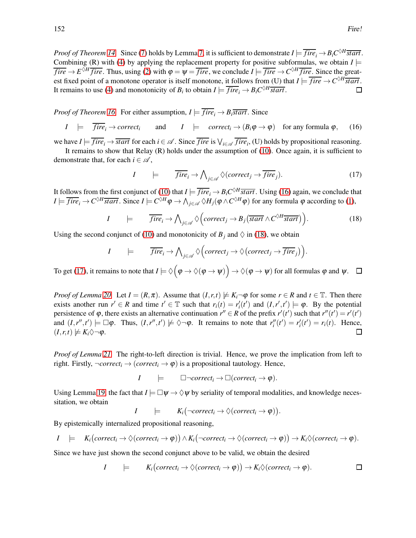*Proof of Theorem [14.](#page-8-1)* Since [\(7\)](#page-6-1) holds by Lemma [7,](#page-6-3) it is sufficient to demonstrate  $I \models \overline{fire}_i \rightarrow B_iC^{\lozenge H} \overline{start}$ . Combining (R) with [\(4\)](#page-6-0) by applying the replacement property for positive subformulas, we obtain  $I \models$  $fire \rightarrow E^{\lozenge H}$  *fire*. Thus, using [\(2\)](#page-5-3) with  $\varphi = \psi = \overline{fire}$ , we conclude  $I \models \overline{fire} \rightarrow C^{\lozenge H}$  *fire*. Since the greatest fixed point of a monotone operator is itself monotone, it follows from (U) that  $I \models \overline{fire} \rightarrow C^{\lozenge H} \overline{start}$ . It remains to use [\(4\)](#page-6-0) and monotonicity of  $B_i$  to obtain  $I \models \overline{fire}_i \rightarrow B_iC^{\lozenge H} \overline{start}$ .  $\Box$ 

*Proof of Theorem [16.](#page-8-2)* For either assumption,  $I \models \overline{fire_i} \rightarrow B_i \overline{start}$ . Since

$$
I \models \overline{fire_i} \rightarrow correct_i
$$
 and  $I \models correct_i \rightarrow (B_i \phi \rightarrow \phi)$  for any formula  $\phi$ , (16)

we have  $I \models \overline{fire_i} \rightarrow \overline{start}$  for each  $i \in \mathcal{A}$ . Since  $\overline{fire}$  is  $\bigvee_{i \in \mathcal{A}} \overline{fire_i}$ , (U) holds by propositional reasoning.

It remains to show that Relay  $(R)$  holds under the assumption of  $(10)$ . Once again, it is sufficient to demonstrate that, for each  $i \in \mathcal{A}$ ,

<span id="page-13-2"></span>
$$
I \qquad \models \qquad \overline{fire}_i \to \bigwedge_{j \in \mathscr{A}} \Diamond (correct_j \to \overline{fire}_j). \tag{17}
$$

<span id="page-13-1"></span><span id="page-13-0"></span>.

It follows from the first conjunct of [\(10\)](#page-8-3) that  $I \models \overline{fire}_i \rightarrow B_iC^{\lozenge H} \overline{start}$ . Using [\(16\)](#page-13-1) again, we conclude that  $I \models \overline{fire}_i \rightarrow C^{\diamond H} \overline{start}$ . Since  $I \models C^{\diamond H} \varphi \rightarrow \bigwedge_{j \in \mathscr{A}} \diamondsuit H_j(\varphi \wedge C^{\diamond H} \varphi)$  for any formula  $\varphi$  according to [\(1\)](#page-5-2),

$$
I \qquad \models \qquad \overline{fire}_i \to \bigwedge_{j \in \mathscr{A}} \Diamond \Big( \text{correct}_j \to B_j \big( \overline{\text{start}} \land C^{\Diamond H} \overline{\text{start}} \Big) \Big). \tag{18}
$$

Using the second conjunct of [\(10\)](#page-8-3) and monotonicity of  $B_j$  and  $\Diamond$  in [\(18\)](#page-13-0), we obtain

$$
I \qquad \models \qquad \overline{fire}_i \rightarrow \bigwedge_{j \in \mathscr{A}} \Diamond \Big(correct_j \rightarrow \Diamond \Big(correct_j \rightarrow \overline{fire}_j\Big)\Big)
$$

To get [\(17\)](#page-13-2), it remains to note that  $I \models \Diamond \big(\varphi \to \Diamond(\varphi \to \psi)\big) \to \Diamond(\varphi \to \psi)$  for all formulas  $\varphi$  and  $\psi$ .

*Proof of Lemma* [20.](#page-9-3) Let  $I = (R, \pi)$ . Assume that  $(I, r, t) \not\models K_i \neg \varphi$  for some  $r \in R$  and  $t \in \mathbb{T}$ . Then there exists another run  $r' \in R$  and time  $t' \in \mathbb{T}$  such that  $r_i(t) = r'_i(t')$  and  $(I, r', t') \models \varphi$ . By the potential persistence of  $\varphi$ , there exists an alternative continuation  $r'' \in R$  of the prefix  $r'(t')$  such that  $r''(t') = r'(t')$ and  $(I, r'', t') \models \Box \varphi$ . Thus,  $(I, r'', t') \not\models \Diamond \neg \varphi$ . It remains to note that  $r''_i(t') = r'_i(t') = r_i(t)$ . Hence,  $(I, r, t) \not\models K_i \Diamond \neg \varphi.$  $\Box$ 

*Proof of Lemma [21.](#page-9-4)* The right-to-left direction is trivial. Hence, we prove the implication from left to right. Firstly,  $\neg correct_i \rightarrow (correct_i \rightarrow \varphi)$  is a propositional tautology. Hence,

 $I \models \Box \neg correct_i \rightarrow \Box (correct_i \rightarrow \varphi).$ 

Using Lemma [19,](#page-9-5) the fact that  $I \models \Box \psi \rightarrow \Diamond \psi$  by seriality of temporal modalities, and knowledge necessitation, we obtain

 $I \quad \models \quad K_i(\neg correct_i \rightarrow \Diamond (correct_i \rightarrow \varphi)).$ 

By epistemically internalized propositional reasoning,

$$
I \models K_i\big(correct_i \rightarrow \Diamond(correct_i \rightarrow \varphi)\big) \land K_i\big(\neg correct_i \rightarrow \Diamond(correct_i \rightarrow \varphi)\big) \rightarrow K_i\Diamond(correct_i \rightarrow \varphi).
$$

Since we have just shown the second conjunct above to be valid, we obtain the desired

$$
I \qquad \models \qquad K_i\big(correct_i \rightarrow \Diamond(correct_i \rightarrow \varphi)\big) \rightarrow K_i\Diamond(correct_i \rightarrow \varphi).
$$